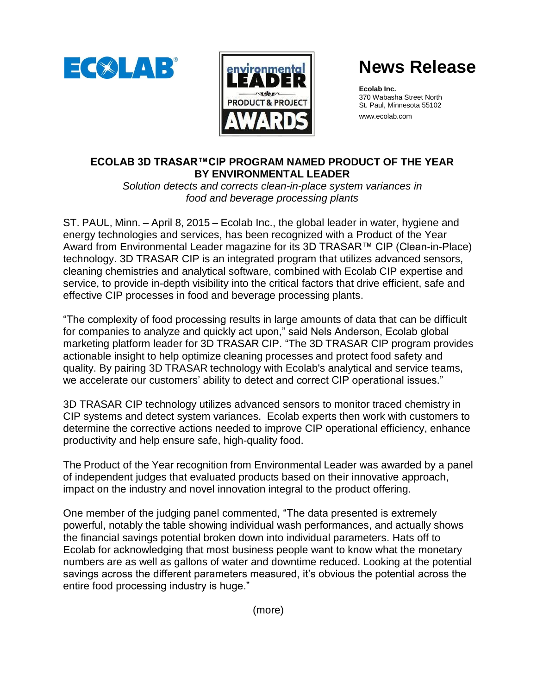



# **News Release**

**Ecolab Inc.** 370 Wabasha Street North St. Paul, Minnesota 55102 www.ecolab.com

## **ECOLAB 3D TRASAR™CIP PROGRAM NAMED PRODUCT OF THE YEAR BY ENVIRONMENTAL LEADER**

*Solution detects and corrects clean-in-place system variances in food and beverage processing plants*

ST. PAUL, Minn. – April 8, 2015 – Ecolab Inc., the global leader in water, hygiene and energy technologies and services, has been recognized with a Product of the Year Award from Environmental Leader magazine for its 3D TRASAR™ CIP (Clean-in-Place) technology. 3D TRASAR CIP is an integrated program that utilizes advanced sensors, cleaning chemistries and analytical software, combined with Ecolab CIP expertise and service, to provide in-depth visibility into the critical factors that drive efficient, safe and effective CIP processes in food and beverage processing plants.

"The complexity of food processing results in large amounts of data that can be difficult for companies to analyze and quickly act upon," said Nels Anderson, Ecolab global marketing platform leader for 3D TRASAR CIP. "The 3D TRASAR CIP program provides actionable insight to help optimize cleaning processes and protect food safety and quality. By pairing 3D TRASAR technology with Ecolab's analytical and service teams, we accelerate our customers' ability to detect and correct CIP operational issues."

3D TRASAR CIP technology utilizes advanced sensors to monitor traced chemistry in CIP systems and detect system variances. Ecolab experts then work with customers to determine the corrective actions needed to improve CIP operational efficiency, enhance productivity and help ensure safe, high-quality food.

The Product of the Year recognition from Environmental Leader was awarded by a panel of independent judges that evaluated products based on their innovative approach, impact on the industry and novel innovation integral to the product offering.

One member of the judging panel commented, "The data presented is extremely powerful, notably the table showing individual wash performances, and actually shows the financial savings potential broken down into individual parameters. Hats off to Ecolab for acknowledging that most business people want to know what the monetary numbers are as well as gallons of water and downtime reduced. Looking at the potential savings across the different parameters measured, it's obvious the potential across the entire food processing industry is huge."

(more)